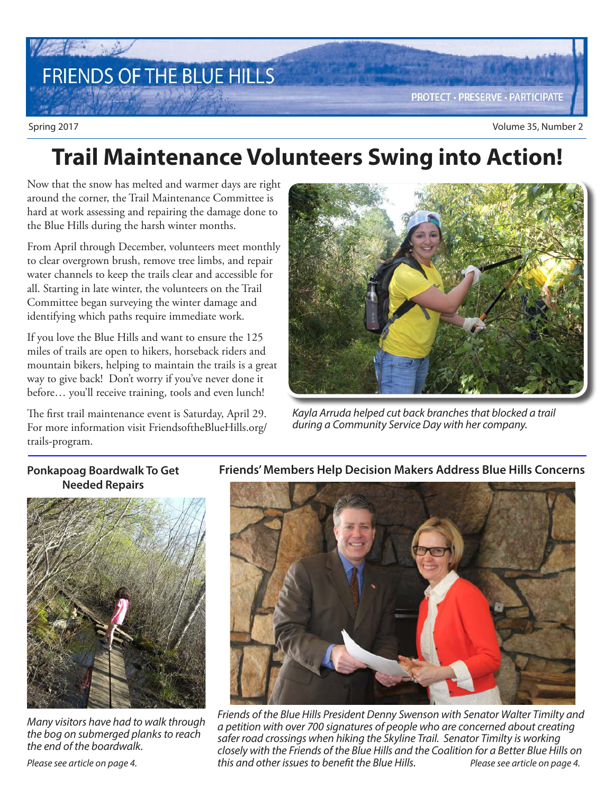# FRIENDS OF THE BLUE HILLS

**PROTECT · PRESERVE · PARTICIPATE** 

## **Trail Maintenance Volunteers Swing into Action!**

Now that the snow has melted and warmer days are right around the corner, the Trail Maintenance Committee is hard at work assessing and repairing the damage done to the Blue Hills during the harsh winter months.

From April through December, volunteers meet monthly to clear overgrown brush, remove tree limbs, and repair water channels to keep the trails clear and accessible for all. Starting in late winter, the volunteers on the Trail Committee began surveying the winter damage and identifying which paths require immediate work.

If you love the Blue Hills and want to ensure the 125 miles of trails are open to hikers, horseback riders and mountain bikers, helping to maintain the trails is a great way to give back! Don't worry if you've never done it before… you'll receive training, tools and even lunch!

The first trail maintenance event is Saturday, April 29. For more information visit FriendsoftheBlueHills.org/ trails-program.



Kayla Arruda helped cut back branches that blocked a trail during a Community Service Day with her company.

#### **Ponkapoag Boardwalk To Get Needed Repairs**



Many visitors have had to walk through the bog on submerged planks to reach the end of the boardwalk.

**Friends' Members Help Decision Makers Address Blue Hills Concerns**



Friends of the Blue Hills President Denny Swenson with Senator Walter Timilty and a petition with over 700 signatures of people who are concerned about creating safer road crossings when hiking the Skyline Trail. Senator Timilty is working closely with the Friends of the Blue Hills and the Coalition for a Better Blue Hills on this and other issues to benefit the Blue Hills. Please see article on page 4.

Please see article on page 4.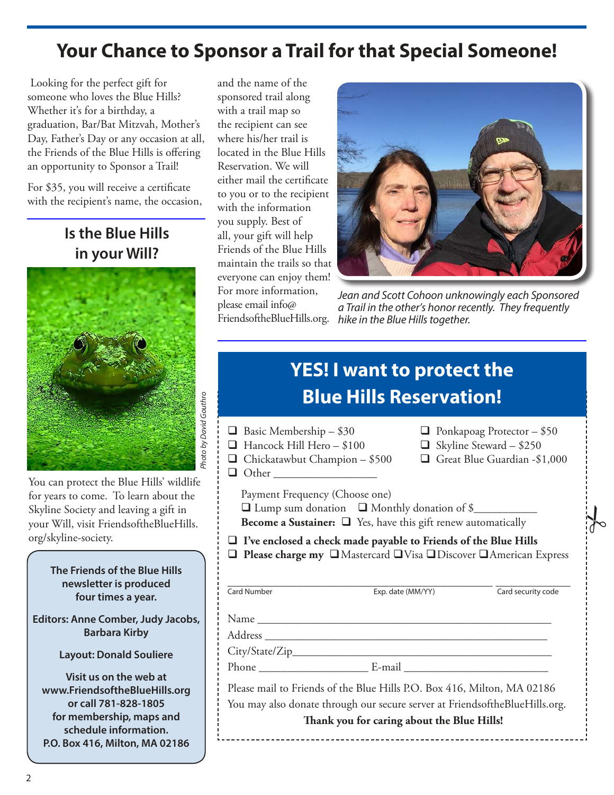### **Your Chance to Sponsor a Trail for that Special Someone!**

 Looking for the perfect gift for someone who loves the Blue Hills? Whether it's for a birthday, a graduation, Bar/Bat Mitzvah, Mother's Day, Father's Day or any occasion at all, the Friends of the Blue Hills is offering an opportunity to Sponsor a Trail!

For \$35, you will receive a certificate with the recipient's name, the occasion,

### **Is the Blue Hills in your Will?**



You can protect the Blue Hills' wildlife for years to come. To learn about the Skyline Society and leaving a gift in your Will, visit FriendsoftheBlueHills. org/skyline-society.

> **The Friends of the Blue Hills newsletter is produced four times a year.**

**Editors: Anne Comber, Judy Jacobs, Barbara Kirby**

**Layout: Donald Souliere**

**Visit us on the web at www.FriendsoftheBlueHills.org or call 781-828-1805 for membership, maps and schedule information. P.O. Box 416, Milton, MA 02186**

and the name of the sponsored trail along with a trail map so the recipient can see where his/her trail is located in the Blue Hills Reservation. We will either mail the certificate to you or to the recipient with the information you supply. Best of all, your gift will help Friends of the Blue Hills maintain the trails so that everyone can enjoy them! For more information, please email info@



Jean and Scott Cohoon unknowingly each Sponsored a Trail in the other's honor recently. They frequently FriendsoftheBlueHills.org. hike in the Blue Hills together.

 $\frac{1}{6}$ 

## **YES! I want to protect the Blue Hills Reservation!**

| $\Box$ Basic Membership – \$30<br>Hancock Hill Hero - \$100                                                                                                                                          |                   | $\Box$ Ponkapoag Protector - \$50<br>$\Box$ Skyline Steward - \$250 |                    |
|------------------------------------------------------------------------------------------------------------------------------------------------------------------------------------------------------|-------------------|---------------------------------------------------------------------|--------------------|
| $\Box$ Chickatawbut Champion – \$500                                                                                                                                                                 |                   | Great Blue Guardian -\$1,000                                        |                    |
|                                                                                                                                                                                                      |                   |                                                                     |                    |
| Payment Frequency (Choose one)<br>$\Box$ Lump sum donation $\Box$ Monthly donation of \$<br><b>Become a Sustainer:</b> $\Box$ Yes, have this gift renew automatically                                |                   |                                                                     |                    |
| $\Box$ I've enclosed a check made payable to Friends of the Blue Hills<br>□ Please charge my □ Mastercard □ Visa □ Discover □ American Express                                                       |                   |                                                                     |                    |
| Card Number                                                                                                                                                                                          | Exp. date (MM/YY) |                                                                     | Card security code |
|                                                                                                                                                                                                      |                   |                                                                     |                    |
|                                                                                                                                                                                                      |                   |                                                                     |                    |
| Please mail to Friends of the Blue Hills P.O. Box 416, Milton, MA 02186<br>You may also donate through our secure server at FriendsoftheBlueHills.org.<br>Thank you for caring about the Blue Hills! |                   |                                                                     |                    |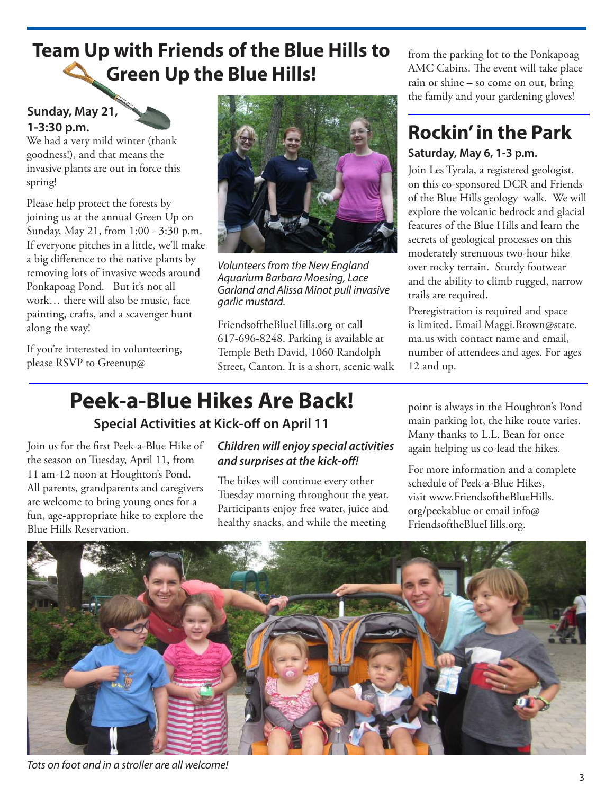### **Team Up with Friends of the Blue Hills to Green Up the Blue Hills!**

### **Sunday, May 21, 1-3:30 p.m.**

We had a very mild winter (thank goodness!), and that means the invasive plants are out in force this spring!

Please help protect the forests by joining us at the annual Green Up on Sunday, May 21, from 1:00 - 3:30 p.m. If everyone pitches in a little, we'll make a big difference to the native plants by removing lots of invasive weeds around Ponkapoag Pond. But it's not all work… there will also be music, face painting, crafts, and a scavenger hunt along the way!

If you're interested in volunteering, please RSVP to Greenup@



Volunteers from the New England Aquarium Barbara Moesing, Lace Garland and Alissa Minot pull invasive garlic mustard.

FriendsoftheBlueHills.org or call 617-696-8248. Parking is available at Temple Beth David, 1060 Randolph Street, Canton. It is a short, scenic walk from the parking lot to the Ponkapoag AMC Cabins. The event will take place rain or shine – so come on out, bring the family and your gardening gloves!

# **Rockin' in the Park**

#### **Saturday, May 6, 1-3 p.m.**

Join Les Tyrala, a registered geologist, on this co-sponsored DCR and Friends of the Blue Hills geology walk. We will explore the volcanic bedrock and glacial features of the Blue Hills and learn the secrets of geological processes on this moderately strenuous two-hour hike over rocky terrain. Sturdy footwear and the ability to climb rugged, narrow trails are required.

Preregistration is required and space is limited. Email Maggi.Brown@state. ma.us with contact name and email, number of attendees and ages. For ages 12 and up.

## **Peek-a-Blue Hikes Are Back!**

### **Special Activities at Kick-off on April 11**

Join us for the first Peek-a-Blue Hike of the season on Tuesday, April 11, from 11 am-12 noon at Houghton's Pond. All parents, grandparents and caregivers are welcome to bring young ones for a fun, age-appropriate hike to explore the Blue Hills Reservation.

#### **Children will enjoy special activities and surprises at the kick-off!**

The hikes will continue every other Tuesday morning throughout the year. Participants enjoy free water, juice and healthy snacks, and while the meeting

point is always in the Houghton's Pond main parking lot, the hike route varies. Many thanks to L.L. Bean for once again helping us co-lead the hikes.

For more information and a complete schedule of Peek-a-Blue Hikes, visit www.FriendsoftheBlueHills. org/peekablue or email info@ FriendsoftheBlueHills.org.



Tots on foot and in a stroller are all welcome!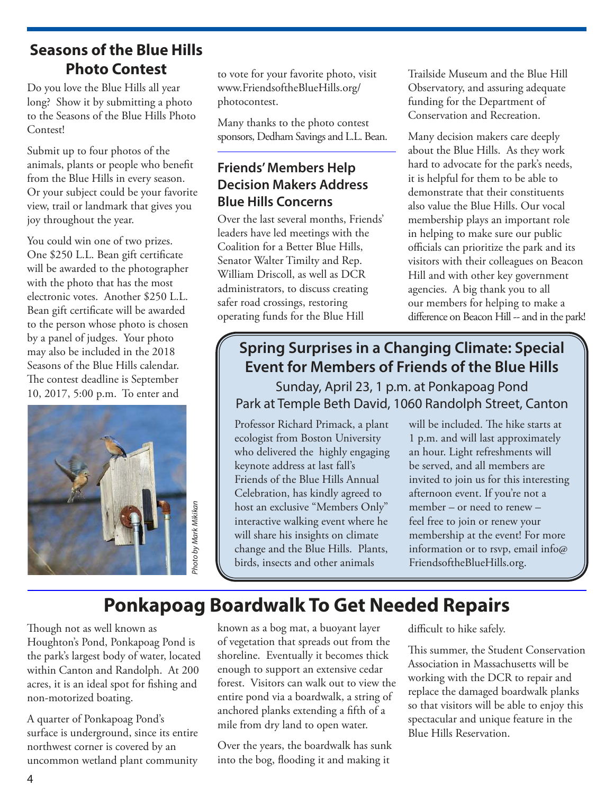### **Seasons of the Blue Hills Photo Contest**

Do you love the Blue Hills all year long? Show it by submitting a photo to the Seasons of the Blue Hills Photo Contest!

Submit up to four photos of the animals, plants or people who benefit from the Blue Hills in every season. Or your subject could be your favorite view, trail or landmark that gives you joy throughout the year.

You could win one of two prizes. One \$250 L.L. Bean gift certificate will be awarded to the photographer with the photo that has the most electronic votes. Another \$250 L.L. Bean gift certificate will be awarded to the person whose photo is chosen by a panel of judges. Your photo may also be included in the 2018 Seasons of the Blue Hills calendar. The contest deadline is September 10, 2017, 5:00 p.m. To enter and



to vote for your favorite photo, visit www.FriendsoftheBlueHills.org/ photocontest.

Many thanks to the photo contest sponsors, Dedham Savings and L.L. Bean.

### **Friends' Members Help Decision Makers Address Blue Hills Concerns**

Over the last several months, Friends' leaders have led meetings with the Coalition for a Better Blue Hills, Senator Walter Timilty and Rep. William Driscoll, as well as DCR administrators, to discuss creating safer road crossings, restoring operating funds for the Blue Hill

Trailside Museum and the Blue Hill Observatory, and assuring adequate funding for the Department of Conservation and Recreation.

Many decision makers care deeply about the Blue Hills. As they work hard to advocate for the park's needs, it is helpful for them to be able to demonstrate that their constituents also value the Blue Hills. Our vocal membership plays an important role in helping to make sure our public officials can prioritize the park and its visitors with their colleagues on Beacon Hill and with other key government agencies. A big thank you to all our members for helping to make a difference on Beacon Hill -- and in the park!

### **Spring Surprises in a Changing Climate: Special Event for Members of Friends of the Blue Hills**

Sunday, April 23, 1 p.m. at Ponkapoag Pond Park at Temple Beth David, 1060 Randolph Street, Canton

Professor Richard Primack, a plant ecologist from Boston University who delivered the highly engaging keynote address at last fall's Friends of the Blue Hills Annual Celebration, has kindly agreed to host an exclusive "Members Only" interactive walking event where he will share his insights on climate change and the Blue Hills. Plants, birds, insects and other animals

will be included. The hike starts at 1 p.m. and will last approximately an hour. Light refreshments will be served, and all members are invited to join us for this interesting afternoon event. If you're not a member – or need to renew – feel free to join or renew your membership at the event! For more information or to rsvp, email info@ FriendsoftheBlueHills.org.

### **Ponkapoag Boardwalk To Get Needed Repairs**

Though not as well known as Houghton's Pond, Ponkapoag Pond is the park's largest body of water, located within Canton and Randolph. At 200 acres, it is an ideal spot for fishing and non-motorized boating.

A quarter of Ponkapoag Pond's surface is underground, since its entire northwest corner is covered by an uncommon wetland plant community

known as a bog mat, a buoyant layer of vegetation that spreads out from the shoreline. Eventually it becomes thick enough to support an extensive cedar forest. Visitors can walk out to view the entire pond via a boardwalk, a string of anchored planks extending a fifth of a mile from dry land to open water.

Over the years, the boardwalk has sunk into the bog, flooding it and making it

difficult to hike safely.

This summer, the Student Conservation Association in Massachusetts will be working with the DCR to repair and replace the damaged boardwalk planks so that visitors will be able to enjoy this spectacular and unique feature in the Blue Hills Reservation.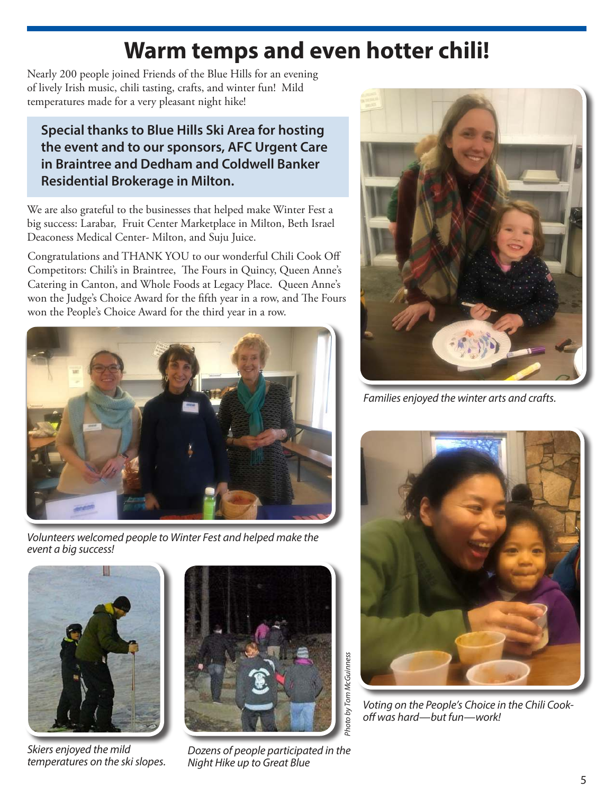## **Warm temps and even hotter chili!**

Nearly 200 people joined Friends of the Blue Hills for an evening of lively Irish music, chili tasting, crafts, and winter fun! Mild temperatures made for a very pleasant night hike!

### **Special thanks to Blue Hills Ski Area for hosting the event and to our sponsors, AFC Urgent Care in Braintree and Dedham and Coldwell Banker Residential Brokerage in Milton.**

We are also grateful to the businesses that helped make Winter Fest a big success: Larabar, Fruit Center Marketplace in Milton, Beth Israel Deaconess Medical Center- Milton, and Suju Juice.

Congratulations and THANK YOU to our wonderful Chili Cook Off Competitors: Chili's in Braintree, The Fours in Quincy, Queen Anne's Catering in Canton, and Whole Foods at Legacy Place. Queen Anne's won the Judge's Choice Award for the fifth year in a row, and The Fours won the People's Choice Award for the third year in a row.



Volunteers welcomed people to Winter Fest and helped make the event a big success!



Skiers enjoyed the mild temperatures on the ski slopes.



Dozens of people participated in the Night Hike up to Great Blue



Families enjoyed the winter arts and crafts.



Voting on the People's Choice in the Chili Cookoff was hard—but fun—work!